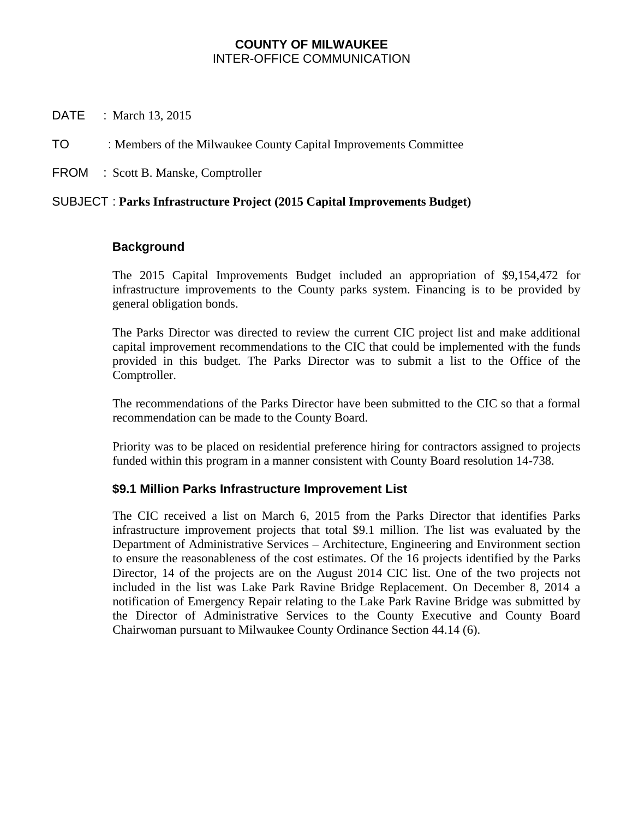### **COUNTY OF MILWAUKEE**  INTER-OFFICE COMMUNICATION

DATE : March 13, 2015

TO : Members of the Milwaukee County Capital Improvements Committee

FROM : Scott B. Manske, Comptroller

## SUBJECT : **Parks Infrastructure Project (2015 Capital Improvements Budget)**

#### **Background**

The 2015 Capital Improvements Budget included an appropriation of \$9,154,472 for infrastructure improvements to the County parks system. Financing is to be provided by general obligation bonds.

The Parks Director was directed to review the current CIC project list and make additional capital improvement recommendations to the CIC that could be implemented with the funds provided in this budget. The Parks Director was to submit a list to the Office of the Comptroller.

The recommendations of the Parks Director have been submitted to the CIC so that a formal recommendation can be made to the County Board.

Priority was to be placed on residential preference hiring for contractors assigned to projects funded within this program in a manner consistent with County Board resolution 14-738.

## **\$9.1 Million Parks Infrastructure Improvement List**

The CIC received a list on March 6, 2015 from the Parks Director that identifies Parks infrastructure improvement projects that total \$9.1 million. The list was evaluated by the Department of Administrative Services – Architecture, Engineering and Environment section to ensure the reasonableness of the cost estimates. Of the 16 projects identified by the Parks Director, 14 of the projects are on the August 2014 CIC list. One of the two projects not included in the list was Lake Park Ravine Bridge Replacement. On December 8, 2014 a notification of Emergency Repair relating to the Lake Park Ravine Bridge was submitted by the Director of Administrative Services to the County Executive and County Board Chairwoman pursuant to Milwaukee County Ordinance Section 44.14 (6).